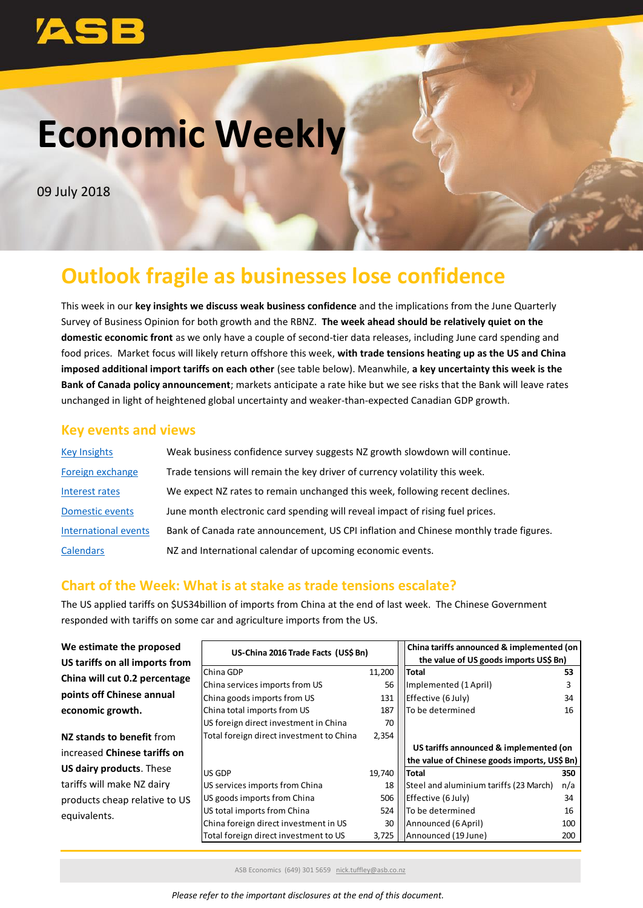# **Economic Weekly**

09 July 2018

## **Outlook fragile as businesses lose confidence**

<span id="page-0-0"></span>This week in our **key insights we discuss weak business confidence** and the implications from the June Quarterly Survey of Business Opinion for both growth and the RBNZ. **The week ahead should be relatively quiet on the domestic economic front** as we only have a couple of second-tier data releases, including June card spending and food prices. Market focus will likely return offshore this week, **with trade tensions heating up as the US and China imposed additional import tariffs on each other** (see table below). Meanwhile, **a key uncertainty this week is the Bank of Canada policy announcement**; markets anticipate a rate hike but we see risks that the Bank will leave rates unchanged in light of heightened global uncertainty and weaker-than-expected Canadian GDP growth.

## **Key events and views**

| <b>Key Insights</b>  | Weak business confidence survey suggests NZ growth slowdown will continue.            |
|----------------------|---------------------------------------------------------------------------------------|
| Foreign exchange     | Trade tensions will remain the key driver of currency volatility this week.           |
| Interest rates       | We expect NZ rates to remain unchanged this week, following recent declines.          |
| Domestic events      | June month electronic card spending will reveal impact of rising fuel prices.         |
| International events | Bank of Canada rate announcement, US CPI inflation and Chinese monthly trade figures. |
| <b>Calendars</b>     | NZ and International calendar of upcoming economic events.                            |

## **Chart of the Week: What is at stake as trade tensions escalate?**

The US applied tariffs on \$US34billion of imports from China at the end of last week. The Chinese Government responded with tariffs on some car and agriculture imports from the US.

| We estimate the proposed            | US-China 2016 Trade Facts (US\$ Bn)      |        | China tariffs announced & implemented (on    |     |  |  |  |
|-------------------------------------|------------------------------------------|--------|----------------------------------------------|-----|--|--|--|
| US tariffs on all imports from      |                                          |        | the value of US goods imports US\$ Bn)       |     |  |  |  |
| China will cut 0.2 percentage       | China GDP                                | 11,200 | <b>Total</b>                                 | 53  |  |  |  |
|                                     | China services imports from US           | 56     | Implemented (1 April)                        |     |  |  |  |
| points off Chinese annual           | China goods imports from US              | 131    | Effective (6 July)                           | 34  |  |  |  |
| economic growth.                    | China total imports from US              | 187    | lTo be determined                            | 16  |  |  |  |
|                                     | US foreign direct investment in China    | 70     |                                              |     |  |  |  |
| NZ stands to benefit from           | Total foreign direct investment to China | 2,354  |                                              |     |  |  |  |
| increased <b>Chinese tariffs on</b> |                                          |        | US tariffs announced & implemented (on       |     |  |  |  |
|                                     |                                          |        | the value of Chinese goods imports, US\$ Bn) |     |  |  |  |
| <b>US dairy products. These</b>     | US GDP                                   | 19,740 | <b>Total</b>                                 | 350 |  |  |  |
| tariffs will make NZ dairy          | US services imports from China           | 18     | Steel and aluminium tariffs (23 March)       | n/a |  |  |  |
| products cheap relative to US       | US goods imports from China              | 506    | Effective (6 July)                           | 34  |  |  |  |
| equivalents.                        | US total imports from China              | 524    | lTo be determined                            | 16  |  |  |  |
|                                     | China foreign direct investment in US    | 30     | Announced (6 April)                          | 100 |  |  |  |
|                                     | Total foreign direct investment to US    | 3,725  | Announced (19 June)                          | 200 |  |  |  |
|                                     |                                          |        |                                              |     |  |  |  |

ASB Economics (649) 301 5659 [nick.tuffley@asb.co.nz](mailto:nick.tuffley@asb.co.nz)

*Please refer to the important disclosures at the end of this document.*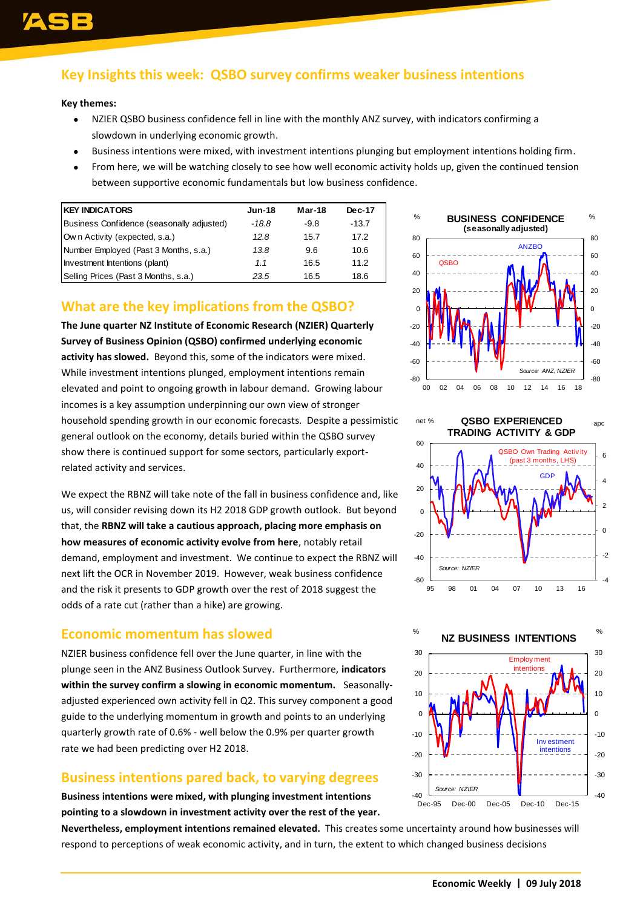## <span id="page-1-0"></span>**Key Insights this week: QSBO survey confirms weaker business intentions**

#### **Key themes:**

- NZIER QSBO business confidence fell in line with the monthly ANZ survey, with indicators confirming a slowdown in underlying economic growth.
- Business intentions were mixed, with investment intentions plunging but employment intentions holding firm.
- From here, we will be watching closely to see how well economic activity holds up, given the continued tension between supportive economic fundamentals but low business confidence.

| <b>KEY INDICATORS</b>                     | <b>Jun-18</b> | Mar-18 | <b>Dec-17</b> |
|-------------------------------------------|---------------|--------|---------------|
| Business Confidence (seasonally adjusted) | $-18.8$       | $-9.8$ | $-13.7$       |
| Own Activity (expected, s.a.)             | 12.8          | 15.7   | 17.2          |
| Number Employed (Past 3 Months, s.a.)     | 13.8          | 9.6    | 10.6          |
| Investment Intentions (plant)             | 1.1           | 16.5   | 11.2          |
| Selling Prices (Past 3 Months, s.a.)      | 23.5          | 16.5   | 18.6          |

## **What are the key implications from the QSBO?**

**The June quarter NZ Institute of Economic Research (NZIER) Quarterly Survey of Business Opinion (QSBO) confirmed underlying economic activity has slowed.** Beyond this, some of the indicators were mixed. While investment intentions plunged, employment intentions remain elevated and point to ongoing growth in labour demand. Growing labour incomes is a key assumption underpinning our own view of stronger household spending growth in our economic forecasts. Despite a pessimistic general outlook on the economy, details buried within the QSBO survey show there is continued support for some sectors, particularly exportrelated activity and services. **RESPOND TO THE CALL ASSES CONFIRM CONSULTER CONSULTER CONSULTER CONFIRM CONTROLL AND CONSULTER CONFIRM CONSULTER CONSULTER CONSULTER CONSULTER CONSULTER CONSULTER CONSULTER CONSULTER CONSULTER CONSULTER CONSULTER CONSULT** 

We expect the RBNZ will take note of the fall in business confidence and, like us, will consider revising down its H2 2018 GDP growth outlook. But beyond that, the **RBNZ will take a cautious approach, placing more emphasis on how measures of economic activity evolve from here**, notably retail demand, employment and investment. We continue to expect the RBNZ will next lift the OCR in November 2019. However, weak business confidence and the risk it presents to GDP growth over the rest of 2018 suggest the odds of a rate cut (rather than a hike) are growing.

### **Economic momentum has slowed**

NZIER business confidence fell over the June quarter, in line with the plunge seen in the ANZ Business Outlook Survey. Furthermore, **indicators within the survey confirm a slowing in economic momentum.** Seasonallyadjusted experienced own activity fell in Q2. This survey component a good guide to the underlying momentum in growth and points to an underlying quarterly growth rate of 0.6% - well below the 0.9% per quarter growth rate we had been predicting over H2 2018.

### **Business intentions pared back, to varying degrees**

**Business intentions were mixed, with plunging investment intentions pointing to a slowdown in investment activity over the rest of the year.** 

**Nevertheless, employment intentions remained elevated.** This creates some uncertainty around how businesses will





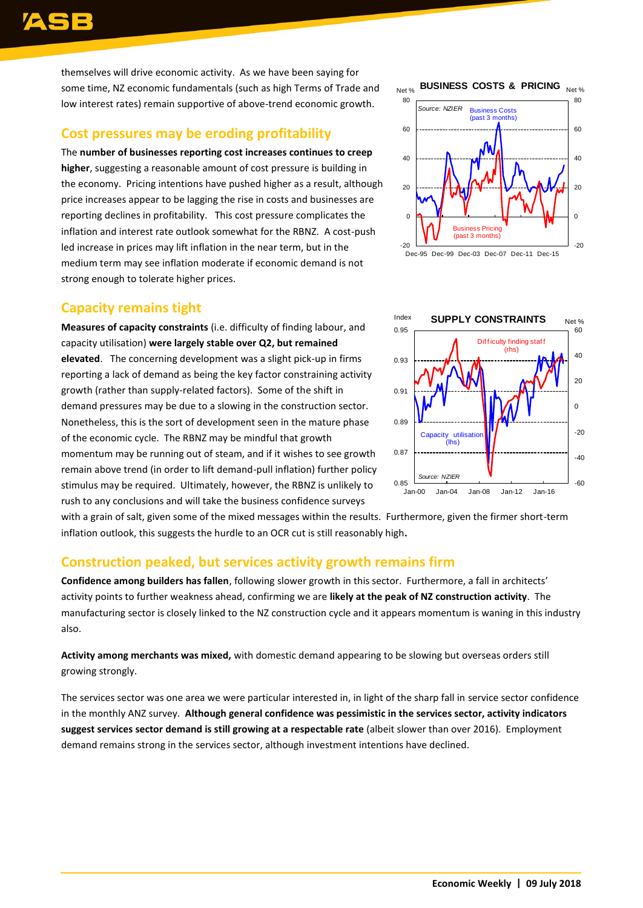## 93

themselves will drive economic activity. As we have been saying for some time, NZ economic fundamentals (such as high Terms of Trade and low interest rates) remain supportive of above-trend economic growth.

### **Cost pressures may be eroding profitability**

The **number of businesses reporting cost increases continues to creep higher**, suggesting a reasonable amount of cost pressure is building in the economy. Pricing intentions have pushed higher as a result, although price increases appear to be lagging the rise in costs and businesses are reporting declines in profitability. This cost pressure complicates the inflation and interest rate outlook somewhat for the RBNZ. A cost-push led increase in prices may lift inflation in the near term, but in the medium term may see inflation moderate if economic demand is not strong enough to tolerate higher prices.

## **Capacity remains tight**

**Measures of capacity constraints** (i.e. difficulty of finding labour, and capacity utilisation) **were largely stable over Q2, but remained elevated**. The concerning development was a slight pick-up in firms reporting a lack of demand as being the key factor constraining activity growth (rather than supply-related factors). Some of the shift in demand pressures may be due to a slowing in the construction sector. Nonetheless, this is the sort of development seen in the mature phase of the economic cycle. The RBNZ may be mindful that growth momentum may be running out of steam, and if it wishes to see growth remain above trend (in order to lift demand-pull inflation) further policy stimulus may be required. Ultimately, however, the RBNZ is unlikely to rush to any conclusions and will take the business confidence surveys





with a grain of salt, given some of the mixed messages within the results. Furthermore, given the firmer short-term inflation outlook, this suggests the hurdle to an OCR cut is still reasonably high**.**

## **Construction peaked, but services activity growth remains firm**

**Confidence among builders has fallen**, following slower growth in this sector. Furthermore, a fall in architects' activity points to further weakness ahead, confirming we are **likely at the peak of NZ construction activity**. The manufacturing sector is closely linked to the NZ construction cycle and it appears momentum is waning in this industry also.

**Activity among merchants was mixed,** with domestic demand appearing to be slowing but overseas orders still growing strongly.

The services sector was one area we were particular interested in, in light of the sharp fall in service sector confidence in the monthly ANZ survey. **Although general confidence was pessimistic in the services sector, activity indicators suggest services sector demand is still growing at a respectable rate** (albeit slower than over 2016). Employment demand remains strong in the services sector, although investment intentions have declined.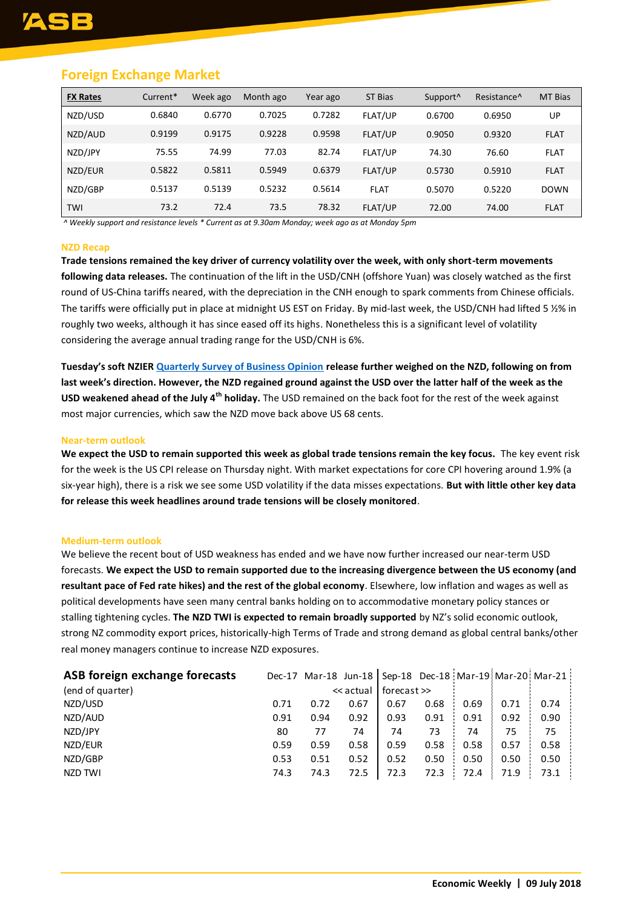## **Foreign Exchange Market**

| <b>FX Rates</b> | Current* | Week ago | Month ago | Year ago | ST Bias     | Support <sup>^</sup> | Resistance <sup>^</sup> | <b>MT Bias</b> |
|-----------------|----------|----------|-----------|----------|-------------|----------------------|-------------------------|----------------|
| NZD/USD         | 0.6840   | 0.6770   | 0.7025    | 0.7282   | FLAT/UP     | 0.6700               | 0.6950                  | UP             |
| NZD/AUD         | 0.9199   | 0.9175   | 0.9228    | 0.9598   | FLAT/UP     | 0.9050               | 0.9320                  | <b>FLAT</b>    |
| NZD/JPY         | 75.55    | 74.99    | 77.03     | 82.74    | FLAT/UP     | 74.30                | 76.60                   | <b>FLAT</b>    |
| NZD/EUR         | 0.5822   | 0.5811   | 0.5949    | 0.6379   | FLAT/UP     | 0.5730               | 0.5910                  | <b>FLAT</b>    |
| NZD/GBP         | 0.5137   | 0.5139   | 0.5232    | 0.5614   | <b>FLAT</b> | 0.5070               | 0.5220                  | <b>DOWN</b>    |
| TWI             | 73.2     | 72.4     | 73.5      | 78.32    | FLAT/UP     | 72.00                | 74.00                   | <b>FLAT</b>    |

*^ Weekly support and resistance levels \* Current as at 9.30am Monday; week ago as at Monday 5pm*

#### **NZD Recap**

**Trade tensions remained the key driver of currency volatility over the week, with only short-term movements following data releases.** The continuation of the lift in the USD/CNH (offshore Yuan) was closely watched as the first round of US-China tariffs neared, with the depreciation in the CNH enough to spark comments from Chinese officials. The tariffs were officially put in place at midnight US EST on Friday. By mid-last week, the USD/CNH had lifted 5 ½% in roughly two weeks, although it has since eased off its highs. Nonetheless this is a significant level of volatility considering the average annual trading range for the USD/CNH is 6%.

**Tuesday's soft NZIER [Quarterly Survey of Business Opinion](https://www.asb.co.nz/content/dam/asb/documents/reports/economic-note/qsbo-q2-2018.pdf) release further weighed on the NZD, following on from last week's direction. However, the NZD regained ground against the USD over the latter half of the week as the USD weakened ahead of the July 4th holiday.** The USD remained on the back foot for the rest of the week against most major currencies, which saw the NZD move back above US 68 cents.

#### **Near-term outlook**

**We expect the USD to remain supported this week as global trade tensions remain the key focus.** The key event risk for the week is the US CPI release on Thursday night. With market expectations for core CPI hovering around 1.9% (a six-year high), there is a risk we see some USD volatility if the data misses expectations. **But with little other key data for release this week headlines around trade tensions will be closely monitored**.

#### **Medium-term outlook**

We believe the recent bout of USD weakness has ended and we have now further increased our near-term USD forecasts. **We expect the USD to remain supported due to the increasing divergence between the US economy (and resultant pace of Fed rate hikes) and the rest of the global economy**. Elsewhere, low inflation and wages as well as political developments have seen many central banks holding on to accommodative monetary policy stances or stalling tightening cycles. **The NZD TWI is expected to remain broadly supported** by NZ's solid economic outlook, strong NZ commodity export prices, historically-high Terms of Trade and strong demand as global central banks/other real money managers continue to increase NZD exposures.

| ASB foreign exchange forecasts |      |      |           |             |      |      |      | Dec-17 Mar-18 Jun-18   Sep-18 Dec-18   Mar-19   Mar-20   Mar-21 |
|--------------------------------|------|------|-----------|-------------|------|------|------|-----------------------------------------------------------------|
| (end of quarter)               |      |      | << actual | forecast >> |      |      |      |                                                                 |
| NZD/USD                        | 0.71 | 0.72 | 0.67      | 0.67        | 0.68 | 0.69 | 0.71 | 0.74                                                            |
| NZD/AUD                        | 0.91 | 0.94 | 0.92      | 0.93        | 0.91 | 0.91 | 0.92 | 0.90                                                            |
| NZD/JPY                        | 80   | 77   | 74        | 74          | 73   | 74   | 75   | 75                                                              |
| NZD/EUR                        | 0.59 | 0.59 | 0.58      | 0.59        | 0.58 | 0.58 | 0.57 | 0.58                                                            |
| NZD/GBP                        | 0.53 | 0.51 | 0.52      | 0.52        | 0.50 | 0.50 | 0.50 | 0.50                                                            |
| NZD TWI                        | 74.3 | 74.3 | 72.5      | 72.3        | 72.3 | 72.4 | 71.9 | 73.1                                                            |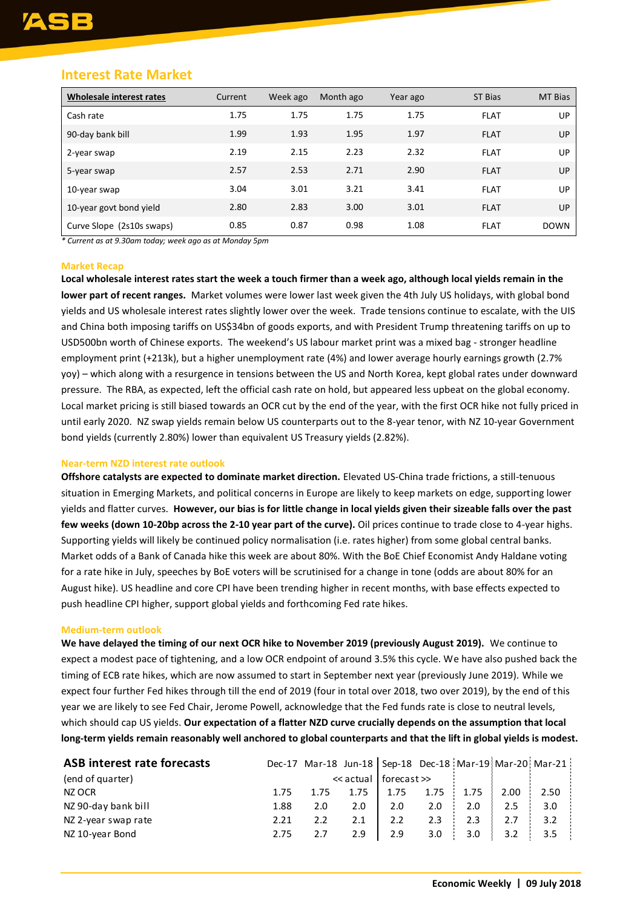## **Interest Rate Market**

| Wholesale interest rates  | Current | Week ago | Month ago | Year ago | ST Bias     | MT Bias     |
|---------------------------|---------|----------|-----------|----------|-------------|-------------|
| Cash rate                 | 1.75    | 1.75     | 1.75      | 1.75     | <b>FLAT</b> | UP          |
| 90-day bank bill          | 1.99    | 1.93     | 1.95      | 1.97     | <b>FLAT</b> | UP          |
| 2-year swap               | 2.19    | 2.15     | 2.23      | 2.32     | <b>FLAT</b> | UP          |
| 5-year swap               | 2.57    | 2.53     | 2.71      | 2.90     | <b>FLAT</b> | UP          |
| 10-year swap              | 3.04    | 3.01     | 3.21      | 3.41     | <b>FLAT</b> | UP          |
| 10-year govt bond yield   | 2.80    | 2.83     | 3.00      | 3.01     | <b>FLAT</b> | UP          |
| Curve Slope (2s10s swaps) | 0.85    | 0.87     | 0.98      | 1.08     | <b>FLAT</b> | <b>DOWN</b> |

*\* Current as at 9.30am today; week ago as at Monday 5pm*

#### **Market Recap**

**Local wholesale interest rates start the week a touch firmer than a week ago, although local yields remain in the lower part of recent ranges.** Market volumes were lower last week given the 4th July US holidays, with global bond yields and US wholesale interest rates slightly lower over the week. Trade tensions continue to escalate, with the UIS and China both imposing tariffs on US\$34bn of goods exports, and with President Trump threatening tariffs on up to USD500bn worth of Chinese exports. The weekend's US labour market print was a mixed bag - stronger headline employment print (+213k), but a higher unemployment rate (4%) and lower average hourly earnings growth (2.7% yoy) – which along with a resurgence in tensions between the US and North Korea, kept global rates under downward pressure. The RBA, as expected, left the official cash rate on hold, but appeared less upbeat on the global economy. Local market pricing is still biased towards an OCR cut by the end of the year, with the first OCR hike not fully priced in until early 2020. NZ swap yields remain below US counterparts out to the 8-year tenor, with NZ 10-year Government bond yields (currently 2.80%) lower than equivalent US Treasury yields (2.82%).

#### **Near-term NZD interest rate outlook**

**Offshore catalysts are expected to dominate market direction.** Elevated US-China trade frictions, a still-tenuous situation in Emerging Markets, and political concerns in Europe are likely to keep markets on edge, supporting lower yields and flatter curves. **However, our bias is for little change in local yields given their sizeable falls over the past few weeks (down 10-20bp across the 2-10 year part of the curve).** Oil prices continue to trade close to 4-year highs. Supporting yields will likely be continued policy normalisation (i.e. rates higher) from some global central banks. Market odds of a Bank of Canada hike this week are about 80%. With the BoE Chief Economist Andy Haldane voting for a rate hike in July, speeches by BoE voters will be scrutinised for a change in tone (odds are about 80% for an August hike). US headline and core CPI have been trending higher in recent months, with base effects expected to push headline CPI higher, support global yields and forthcoming Fed rate hikes.

#### **Medium-term outlook**

**We have delayed the timing of our next OCR hike to November 2019 (previously August 2019).** We continue to expect a modest pace of tightening, and a low OCR endpoint of around 3.5% this cycle. We have also pushed back the timing of ECB rate hikes, which are now assumed to start in September next year (previously June 2019). While we expect four further Fed hikes through till the end of 2019 (four in total over 2018, two over 2019), by the end of this year we are likely to see Fed Chair, Jerome Powell, acknowledge that the Fed funds rate is close to neutral levels, which should cap US yields. **Our expectation of a flatter NZD curve crucially depends on the assumption that local long-term yields remain reasonably well anchored to global counterparts and that the lift in global yields is modest.**

| ASB interest rate forecasts |      | Dec-17 Mar-18 Jun-18   Sep-18 Dec-18   Mar-19   Mar-20   Mar-21 |           |             |      |      |      |      |  |
|-----------------------------|------|-----------------------------------------------------------------|-----------|-------------|------|------|------|------|--|
| (end of quarter)            |      |                                                                 | << actual | forecast >> |      |      |      |      |  |
| NZ OCR                      | 1.75 | 1.75                                                            | 1.75      | 1.75        | 1.75 | 1.75 | 2.00 | 2.50 |  |
| NZ 90-day bank bill         | 1.88 | 2.0                                                             | 2.0       | 2.0         | 2.0  | 2.0  | 2.5  | 3.0  |  |
| NZ 2-year swap rate         | 2.21 | 2.2                                                             | 2.1       | 2.2         | 2.3  | 2.3  | 2.7  | 3.2  |  |
| NZ 10-year Bond             | 2.75 | 2.7                                                             | 2.9       | 2.9         | 3.0  | 3.0  | 3.2  | 3.5  |  |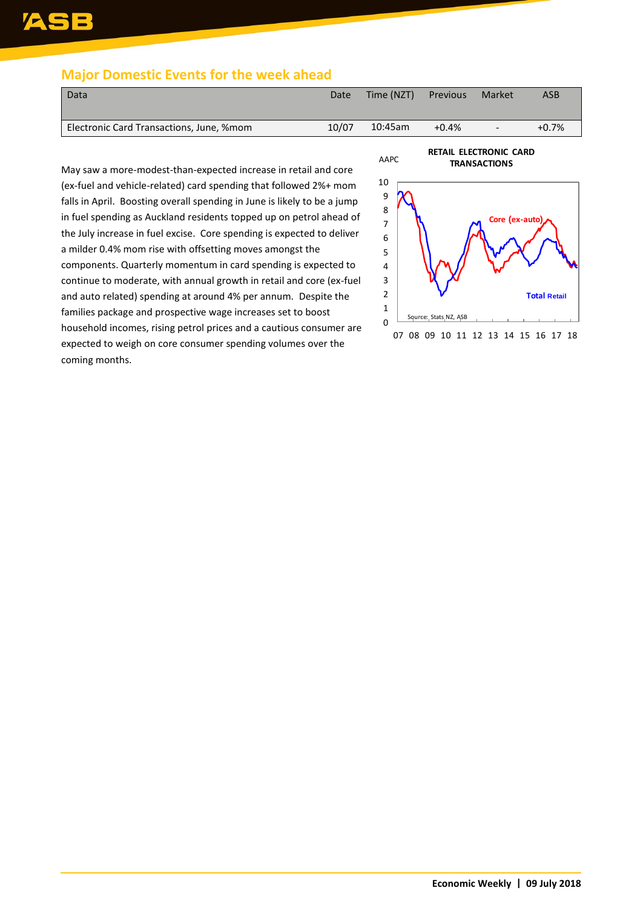## ASB

## <span id="page-5-0"></span>**Major Domestic Events for the week ahead**

| Data                                     | Date  | Time (NZT) | Previous | Market | <b>ASB</b> |
|------------------------------------------|-------|------------|----------|--------|------------|
| Electronic Card Transactions, June, %mom | 10/07 | 10:45am    | $+0.4%$  | $-$    | $+0.7%$    |
|                                          |       |            |          |        |            |

May saw a more-modest-than-expected increase in retail and core (ex-fuel and vehicle-related) card spending that followed 2%+ mom falls in April. Boosting overall spending in June is likely to be a jump in fuel spending as Auckland residents topped up on petrol ahead of the July increase in fuel excise. Core spending is expected to deliver a milder 0.4% mom rise with offsetting moves amongst the components. Quarterly momentum in card spending is expected to continue to moderate, with annual growth in retail and core (ex-fuel and auto related) spending at around 4% per annum. Despite the families package and prospective wage increases set to boost household incomes, rising petrol prices and a cautious consumer are expected to weigh on core consumer spending volumes over the coming months.

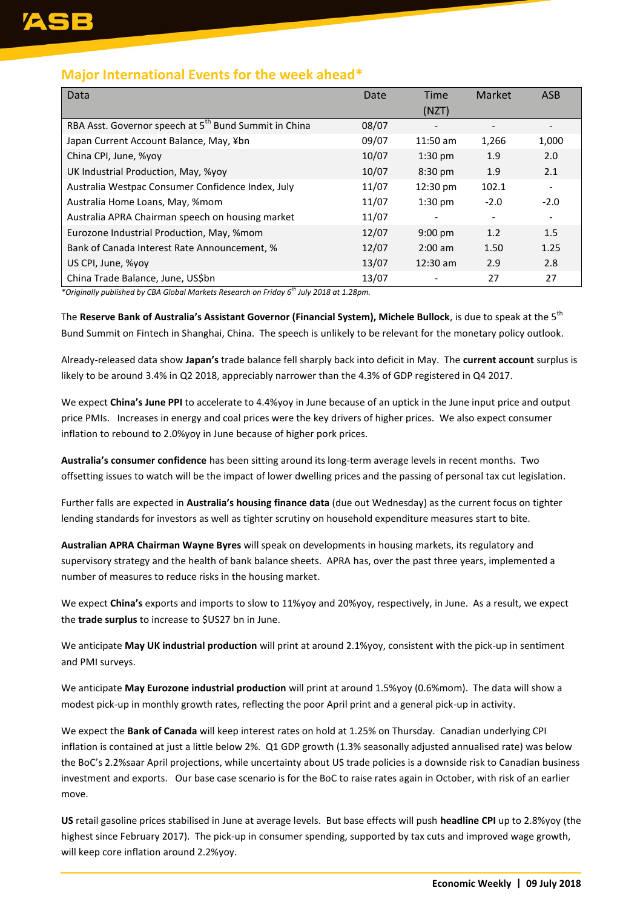## <span id="page-6-0"></span>**Major International Events for the week ahead\***

| Data                                                              | Date  | <b>Time</b>        | Market | <b>ASB</b>               |
|-------------------------------------------------------------------|-------|--------------------|--------|--------------------------|
|                                                                   |       | (NZT)              |        |                          |
| RBA Asst. Governor speech at 5 <sup>th</sup> Bund Summit in China | 08/07 |                    |        |                          |
| Japan Current Account Balance, May, ¥bn                           | 09/07 | $11:50$ am         | 1,266  | 1,000                    |
| China CPI, June, %yoy                                             | 10/07 | $1:30$ pm          | 1.9    | 2.0                      |
| UK Industrial Production, May, %yoy                               | 10/07 | 8:30 pm            | 1.9    | 2.1                      |
| Australia Westpac Consumer Confidence Index, July                 | 11/07 | $12:30 \text{ pm}$ | 102.1  |                          |
| Australia Home Loans, May, %mom                                   | 11/07 | $1:30$ pm          | $-2.0$ | $-2.0$                   |
| Australia APRA Chairman speech on housing market                  | 11/07 |                    |        | $\overline{\phantom{a}}$ |
| Eurozone Industrial Production, May, %mom                         | 12/07 | $9:00 \text{ pm}$  | 1.2    | 1.5                      |
| Bank of Canada Interest Rate Announcement, %                      | 12/07 | $2:00$ am          | 1.50   | 1.25                     |
| US CPI, June, %yoy                                                | 13/07 | $12:30$ am         | 2.9    | 2.8                      |
| China Trade Balance, June, US\$bn                                 | 13/07 |                    | 27     | 27                       |

*\*Originally published by CBA Global Markets Research on Friday 6 th July 2018 at 1.28pm.*

The **Reserve Bank of Australia's Assistant Governor (Financial System), Michele Bullock**, is due to speak at the 5th Bund Summit on Fintech in Shanghai, China. The speech is unlikely to be relevant for the monetary policy outlook.

Already-released data show **Japan's** trade balance fell sharply back into deficit in May. The **current account** surplus is likely to be around 3.4% in Q2 2018, appreciably narrower than the 4.3% of GDP registered in Q4 2017.

We expect **China's June PPI** to accelerate to 4.4%yoy in June because of an uptick in the June input price and output price PMIs. Increases in energy and coal prices were the key drivers of higher prices. We also expect consumer inflation to rebound to 2.0%yoy in June because of higher pork prices.

**Australia's consumer confidence** has been sitting around its long-term average levels in recent months. Two offsetting issues to watch will be the impact of lower dwelling prices and the passing of personal tax cut legislation.

Further falls are expected in **Australia's housing finance data** (due out Wednesday) as the current focus on tighter lending standards for investors as well as tighter scrutiny on household expenditure measures start to bite.

**Australian APRA Chairman Wayne Byres** will speak on developments in housing markets, its regulatory and supervisory strategy and the health of bank balance sheets. APRA has, over the past three years, implemented a number of measures to reduce risks in the housing market.

We expect **China's** exports and imports to slow to 11%yoy and 20%yoy, respectively, in June. As a result, we expect the **trade surplus** to increase to \$US27 bn in June.

We anticipate **May UK industrial production** will print at around 2.1%yoy, consistent with the pick-up in sentiment and PMI surveys.

We anticipate **May Eurozone industrial production** will print at around 1.5%yoy (0.6%mom). The data will show a modest pick-up in monthly growth rates, reflecting the poor April print and a general pick-up in activity.

We expect the **Bank of Canada** will keep interest rates on hold at 1.25% on Thursday. Canadian underlying CPI inflation is contained at just a little below 2%. Q1 GDP growth (1.3% seasonally adjusted annualised rate) was below the BoC's 2.2%saar April projections, while uncertainty about US trade policies is a downside risk to Canadian business investment and exports. Our base case scenario is for the BoC to raise rates again in October, with risk of an earlier move.

**US** retail gasoline prices stabilised in June at average levels. But base effects will push **headline CPI** up to 2.8%yoy (the highest since February 2017). The pick-up in consumer spending, supported by tax cuts and improved wage growth, will keep core inflation around 2.2%yoy.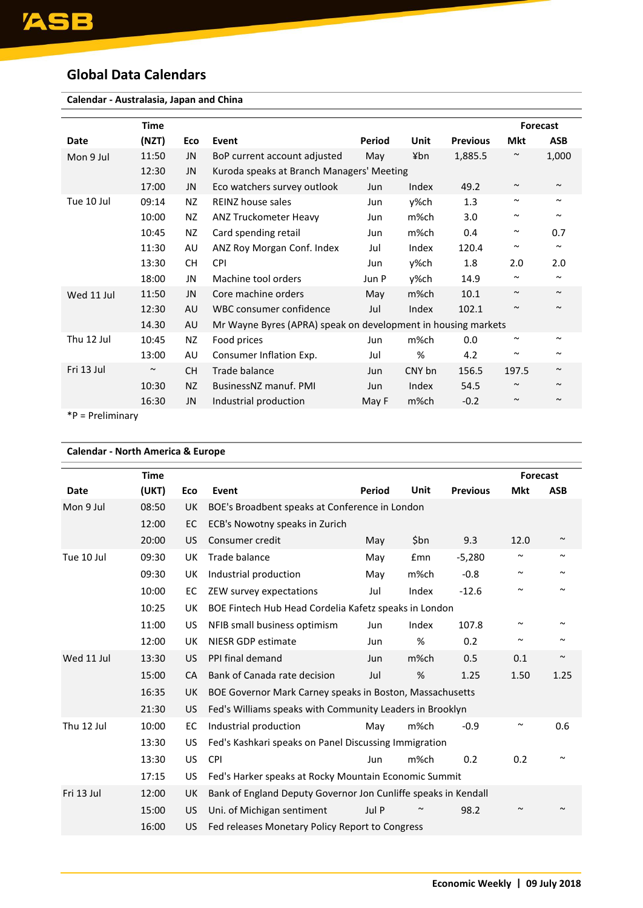## <span id="page-7-0"></span>**Global Data Calendars**

| Calendar - Australasia, Japan and China |             |           |                                                               |        |        |                 |                       |                       |
|-----------------------------------------|-------------|-----------|---------------------------------------------------------------|--------|--------|-----------------|-----------------------|-----------------------|
|                                         | <b>Time</b> |           |                                                               |        |        |                 |                       | <b>Forecast</b>       |
| <b>Date</b>                             | (NZT)       | Eco       | Event                                                         | Period | Unit   | <b>Previous</b> | <b>Mkt</b>            | <b>ASB</b>            |
| Mon 9 Jul                               | 11:50       | JN        | BoP current account adjusted                                  | May    | ¥bn    | 1,885.5         | $\sim$                | 1,000                 |
|                                         | 12:30       | JN        | Kuroda speaks at Branch Managers' Meeting                     |        |        |                 |                       |                       |
|                                         | 17:00       | <b>JN</b> | Eco watchers survey outlook                                   | Jun    | Index  | 49.2            | $\sim$                | $\sim$                |
| Tue 10 Jul                              | 09:14       | NZ.       | REINZ house sales                                             | Jun    | v%ch   | 1.3             | $\sim$                | $\sim$                |
|                                         | 10:00       | NZ.       | ANZ Truckometer Heavy                                         | Jun    | m%ch   | 3.0             | $\sim$                | $\tilde{\phantom{a}}$ |
|                                         | 10:45       | NZ        | Card spending retail                                          | Jun    | m%ch   | 0.4             | $\tilde{\phantom{a}}$ | 0.7                   |
|                                         | 11:30       | AU        | ANZ Roy Morgan Conf. Index                                    | Jul    | Index  | 120.4           | $\sim$                | $\sim$                |
|                                         | 13:30       | СH        | CPI                                                           | Jun    | y%ch   | 1.8             | 2.0                   | 2.0                   |
|                                         | 18:00       | JN        | Machine tool orders                                           | Jun P  | y%ch   | 14.9            | $\tilde{\phantom{a}}$ | $\tilde{\phantom{a}}$ |
| Wed 11 Jul                              | 11:50       | JN        | Core machine orders                                           | May    | m%ch   | 10.1            | $\sim$                | $\sim$                |
|                                         | 12:30       | AU        | WBC consumer confidence                                       | Jul    | Index  | 102.1           | $\sim$                | $\sim$                |
|                                         | 14.30       | AU        | Mr Wayne Byres (APRA) speak on development in housing markets |        |        |                 |                       |                       |
| Thu 12 Jul                              | 10:45       | NZ.       | Food prices                                                   | Jun    | m%ch   | 0.0             | $\sim$                | $\sim$                |
|                                         | 13:00       | AU        | Consumer Inflation Exp.                                       | Jul    | %      | 4.2             | $\tilde{\phantom{a}}$ | $\tilde{\phantom{a}}$ |
| Fri 13 Jul                              | $\sim$      | <b>CH</b> | Trade balance                                                 | Jun    | CNY bn | 156.5           | 197.5                 | $\tilde{\phantom{a}}$ |
|                                         | 10:30       | <b>NZ</b> | BusinessNZ manuf, PMI                                         | Jun    | Index  | 54.5            | $\sim$                | $\sim$                |
|                                         | 16:30       | JN        | Industrial production                                         | May F  | m%ch   | $-0.2$          | $\sim$                | $\sim$                |

\*P = Preliminary

| Event<br>BOE's Broadbent speaks at Conference in London<br>ECB's Nowotny speaks in Zurich<br>Consumer credit<br>Trade balance | Period<br>May | <b>Unit</b> | <b>Previous</b>                                 | Forecast<br><b>Mkt</b>                                                                                                                                                                                                                                                                                                                                            | <b>ASB</b>            |  |  |
|-------------------------------------------------------------------------------------------------------------------------------|---------------|-------------|-------------------------------------------------|-------------------------------------------------------------------------------------------------------------------------------------------------------------------------------------------------------------------------------------------------------------------------------------------------------------------------------------------------------------------|-----------------------|--|--|
|                                                                                                                               |               |             |                                                 |                                                                                                                                                                                                                                                                                                                                                                   |                       |  |  |
|                                                                                                                               |               |             |                                                 |                                                                                                                                                                                                                                                                                                                                                                   |                       |  |  |
|                                                                                                                               |               |             |                                                 |                                                                                                                                                                                                                                                                                                                                                                   |                       |  |  |
|                                                                                                                               |               | \$bn        |                                                 |                                                                                                                                                                                                                                                                                                                                                                   |                       |  |  |
|                                                                                                                               |               |             | 9.3                                             | 12.0                                                                                                                                                                                                                                                                                                                                                              | $\sim$                |  |  |
|                                                                                                                               | May           | <b>£mn</b>  | $-5,280$                                        | $\sim$                                                                                                                                                                                                                                                                                                                                                            | $\tilde{\phantom{a}}$ |  |  |
| Industrial production                                                                                                         | May           | m%ch        | $-0.8$                                          | $\sim$                                                                                                                                                                                                                                                                                                                                                            | $\sim$                |  |  |
| ZEW survey expectations                                                                                                       | Jul           | Index       | $-12.6$                                         | $\sim$                                                                                                                                                                                                                                                                                                                                                            | $\sim$                |  |  |
|                                                                                                                               |               |             |                                                 |                                                                                                                                                                                                                                                                                                                                                                   |                       |  |  |
| NFIB small business optimism                                                                                                  | Jun           | Index       | 107.8                                           | $\sim$                                                                                                                                                                                                                                                                                                                                                            |                       |  |  |
| NIESR GDP estimate                                                                                                            | Jun           | %           | 0.2                                             | $\sim$                                                                                                                                                                                                                                                                                                                                                            |                       |  |  |
| PPI final demand                                                                                                              | Jun           | m%ch        | 0.5                                             | 0.1                                                                                                                                                                                                                                                                                                                                                               | $\sim$                |  |  |
| Bank of Canada rate decision                                                                                                  | Jul           | %           | 1.25                                            | 1.50                                                                                                                                                                                                                                                                                                                                                              | 1.25                  |  |  |
|                                                                                                                               |               |             |                                                 |                                                                                                                                                                                                                                                                                                                                                                   |                       |  |  |
|                                                                                                                               |               |             |                                                 |                                                                                                                                                                                                                                                                                                                                                                   |                       |  |  |
| Industrial production                                                                                                         | May           | m%ch        | $-0.9$                                          | $\tilde{\phantom{a}}$                                                                                                                                                                                                                                                                                                                                             | 0.6                   |  |  |
|                                                                                                                               |               |             |                                                 |                                                                                                                                                                                                                                                                                                                                                                   |                       |  |  |
| <b>CPI</b>                                                                                                                    | Jun           | m%ch        | 0.2                                             | 0.2                                                                                                                                                                                                                                                                                                                                                               |                       |  |  |
|                                                                                                                               |               |             |                                                 |                                                                                                                                                                                                                                                                                                                                                                   |                       |  |  |
|                                                                                                                               |               |             |                                                 |                                                                                                                                                                                                                                                                                                                                                                   |                       |  |  |
| Uni. of Michigan sentiment                                                                                                    | Jul P         |             | 98.2                                            | $\sim$                                                                                                                                                                                                                                                                                                                                                            |                       |  |  |
|                                                                                                                               |               |             |                                                 |                                                                                                                                                                                                                                                                                                                                                                   |                       |  |  |
|                                                                                                                               |               |             | Fed releases Monetary Policy Report to Congress | BOE Fintech Hub Head Cordelia Kafetz speaks in London<br>BOE Governor Mark Carney speaks in Boston, Massachusetts<br>Fed's Williams speaks with Community Leaders in Brooklyn<br>Fed's Kashkari speaks on Panel Discussing Immigration<br>Fed's Harker speaks at Rocky Mountain Economic Summit<br>Bank of England Deputy Governor Jon Cunliffe speaks in Kendall |                       |  |  |